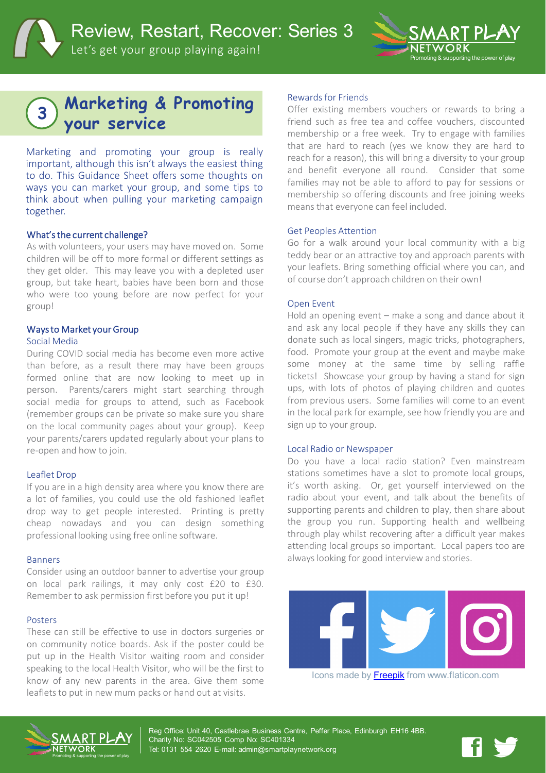



# **Marketing & Promoting your service <sup>3</sup>**

Marketing and promoting your group is really important, although this isn't always the easiest thing to do. This Guidance Sheet offers some thoughts on ways you can market your group, and some tips to think about when pulling your marketing campaign together.

#### What'sthe current challenge?

As with volunteers, your users may have moved on. Some children will be off to more formal or different settings as they get older. This may leave you with a depleted user group, but take heart, babies have been born and those who were too young before are now perfect for your group!

#### Ways to Market your Group

#### Social Media

During COVID social media has become even more active than before, as a result there may have been groups formed online that are now looking to meet up in person. Parents/carers might start searching through social media for groups to attend, such as Facebook (remember groups can be private so make sure you share on the local community pages about your group). Keep your parents/carers updated regularly about your plans to re-open and how to join.

#### Leaflet Drop

If you are in a high density area where you know there are a lot of families, you could use the old fashioned leaflet drop way to get people interested. Printing is pretty cheap nowadays and you can design something professional looking using free online software.

#### Banners

Consider using an outdoor banner to advertise your group on local park railings, it may only cost £20 to £30. Remember to ask permission first before you put it up!

#### Posters

These can still be effective to use in doctors surgeries or on community notice boards. Ask if the poster could be put up in the Health Visitor waiting room and consider speaking to the local Health Visitor, who will be the first to know of any new parents in the area. Give them some leaflets to put in new mum packs or hand out at visits.

#### Rewards for Friends

Offer existing members vouchers or rewards to bring a friend such as free tea and coffee vouchers, discounted membership or a free week. Try to engage with families that are hard to reach (yes we know they are hard to reach for a reason), this will bring a diversity to your group and benefit everyone all round. Consider that some families may not be able to afford to pay for sessions or membership so offering discounts and free joining weeks means that everyone can feel included.

#### Get Peoples Attention

Go for a walk around your local community with a big teddy bear or an attractive toy and approach parents with your leaflets. Bring something official where you can, and of course don't approach children on their own!

#### Open Event

Hold an opening event – make a song and dance about it and ask any local people if they have any skills they can donate such as local singers, magic tricks, photographers, food. Promote your group at the event and maybe make some money at the same time by selling raffle tickets! Showcase your group by having a stand for sign ups, with lots of photos of playing children and quotes from previous users. Some families will come to an event in the local park for example, see how friendly you are and sign up to your group.

#### Local Radio or Newspaper

Do you have a local radio station? Even mainstream stations sometimes have a slot to promote local groups, it's worth asking. Or, get yourself interviewed on the radio about your event, and talk about the benefits of supporting parents and children to play, then share about the group you run. Supporting health and wellbeing through play whilst recovering after a difficult year makes attending local groups so important. Local papers too are always looking for good interview and stories.



Icons made by **Freepik** from www.flaticon.com



Reg Office: Unit 40, Castlebrae Business Centre, Peffer Place, Edinburgh EH16 4BB. Charity No: SC042505 Comp No: SC401334 Tel: 0131 554 2620 E-mail: admin@smartplaynetwork.org